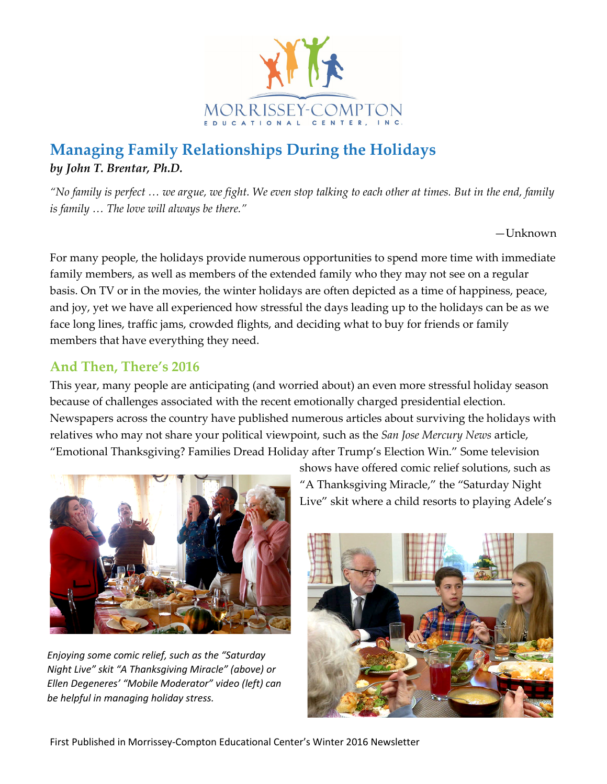

## **Managing Family Relationships During the Holidays** *by John T. Brentar, Ph.D.*

*"No family is perfect … we argue, we fight. We even stop talking to each other at times. But in the end, family is family … The love will always be there."*

 $-I$ Jnknown

For many people, the holidays provide numerous opportunities to spend more time with immediate family members, as well as members of the extended family who they may not see on a regular basis. On TV or in the movies, the winter holidays are often depicted as a time of happiness, peace, and joy, yet we have all experienced how stressful the days leading up to the holidays can be as we face long lines, traffic jams, crowded flights, and deciding what to buy for friends or family members that have everything they need.

#### **And Then, There's 2016**

This year, many people are anticipating (and worried about) an even more stressful holiday season because of challenges associated with the recent emotionally charged presidential election. Newspapers across the country have published numerous articles about surviving the holidays with relatives who may not share your political viewpoint, such as the *San Jose Mercury News* article, "Emotional Thanksgiving? Families Dread Holiday after Trump's Election Win." Some television



*Enjoying some comic relief, such as the "Saturday Night Live" skit "A Thanksgiving Miracle" (above) or Ellen Degeneres' "Mobile Moderator" video (left) can be helpful in managing holiday stress.*

shows have offered comic relief solutions, such as "A Thanksgiving Miracle," the "Saturday Night Live" skit where a child resorts to playing Adele's

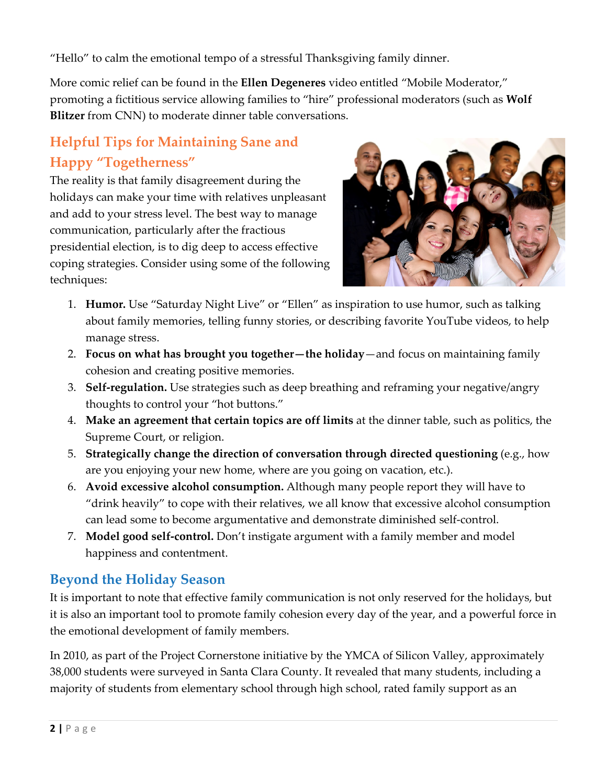"Hello" to calm the emotional tempo of a stressful Thanksgiving family dinner.

More comic relief can be found in the **Ellen Degeneres** video entitled "Mobile Moderator," promoting a fictitious service allowing families to "hire" professional moderators (such as **Wolf Blitzer** from CNN) to moderate dinner table conversations.

# **Helpful Tips for Maintaining Sane and Happy "Togetherness"**

The reality is that family disagreement during the holidays can make your time with relatives unpleasant and add to your stress level. The best way to manage communication, particularly after the fractious presidential election, is to dig deep to access effective coping strategies. Consider using some of the following techniques:



- 1. **Humor.** Use "Saturday Night Live" or "Ellen" as inspiration to use humor, such as talking about family memories, telling funny stories, or describing favorite YouTube videos, to help manage stress.
- 2. **Focus on what has brought you together—the holiday**—and focus on maintaining family cohesion and creating positive memories.
- 3. **Self-regulation.** Use strategies such as deep breathing and reframing your negative/angry thoughts to control your "hot buttons."
- 4. **Make an agreement that certain topics are off limits** at the dinner table, such as politics, the Supreme Court, or religion.
- 5. **Strategically change the direction of conversation through directed questioning** (e.g., how are you enjoying your new home, where are you going on vacation, etc.).
- 6. **Avoid excessive alcohol consumption.** Although many people report they will have to "drink heavily" to cope with their relatives, we all know that excessive alcohol consumption can lead some to become argumentative and demonstrate diminished self-control.
- 7. **Model good self-control.** Don't instigate argument with a family member and model happiness and contentment.

### **Beyond the Holiday Season**

It is important to note that effective family communication is not only reserved for the holidays, but it is also an important tool to promote family cohesion every day of the year, and a powerful force in the emotional development of family members.

In 2010, as part of the Project Cornerstone initiative by the YMCA of Silicon Valley, approximately 38,000 students were surveyed in Santa Clara County. It revealed that many students, including a majority of students from elementary school through high school, rated family support as an